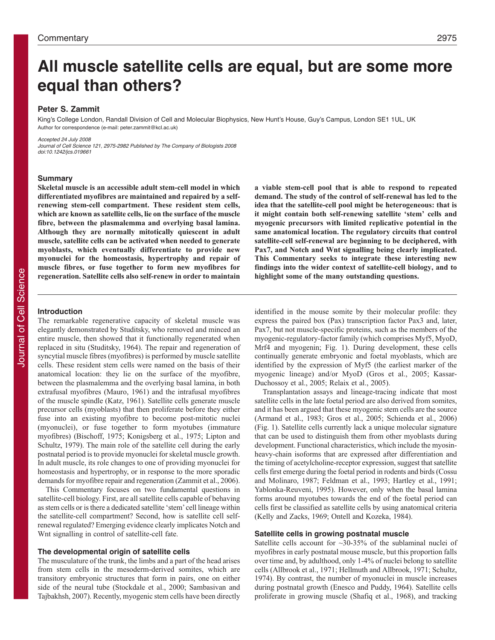# **All muscle satellite cells are equal, but are some more equal than others?**

## **Peter S. Zammit**

King's College London, Randall Division of Cell and Molecular Biophysics, New Hunt's House, Guy's Campus, London SE1 1UL, UK Author for correspondence (e-mail: peter.zammit@kcl.ac.uk)

Accepted 24 July 2008

Journal of Cell Science 121, 2975-2982 Published by The Company of Biologists 2008 doi:10.1242/jcs.019661

#### **Summary**

**Skeletal muscle is an accessible adult stem-cell model in which differentiated myofibres are maintained and repaired by a selfrenewing stem-cell compartment. These resident stem cells, which are known as satellite cells, lie on the surface of the muscle fibre, between the plasmalemma and overlying basal lamina. Although they are normally mitotically quiescent in adult muscle, satellite cells can be activated when needed to generate myoblasts, which eventually differentiate to provide new myonuclei for the homeostasis, hypertrophy and repair of muscle fibres, or fuse together to form new myofibres for regeneration. Satellite cells also self-renew in order to maintain**

## **Introduction**

The remarkable regenerative capacity of skeletal muscle was elegantly demonstrated by Studitsky, who removed and minced an entire muscle, then showed that it functionally regenerated when replaced in situ (Studitsky, 1964). The repair and regeneration of syncytial muscle fibres (myofibres) is performed by muscle satellite cells. These resident stem cells were named on the basis of their anatomical location: they lie on the surface of the myofibre, between the plasmalemma and the overlying basal lamina, in both extrafusal myofibres (Mauro, 1961) and the intrafusal myofibres of the muscle spindle (Katz, 1961). Satellite cells generate muscle precursor cells (myoblasts) that then proliferate before they either fuse into an existing myofibre to become post-mitotic nuclei (myonuclei), or fuse together to form myotubes (immature myofibres) (Bischoff, 1975; Konigsberg et al., 1975; Lipton and Schultz, 1979). The main role of the satellite cell during the early postnatal period is to provide myonuclei for skeletal muscle growth. In adult muscle, its role changes to one of providing myonuclei for homeostasis and hypertrophy, or in response to the more sporadic demands for myofibre repair and regeneration (Zammit et al., 2006).

This Commentary focuses on two fundamental questions in satellite-cell biology. First, are all satellite cells capable of behaving as stem cells or is there a dedicated satellite 'stem' cell lineage within the satellite-cell compartment? Second, how is satellite cell selfrenewal regulated? Emerging evidence clearly implicates Notch and Wnt signalling in control of satellite-cell fate.

## **The developmental origin of satellite cells**

The musculature of the trunk, the limbs and a part of the head arises from stem cells in the mesoderm-derived somites, which are transitory embryonic structures that form in pairs, one on either side of the neural tube (Stockdale et al., 2000; Sambasivan and Tajbakhsh, 2007). Recently, myogenic stem cells have been directly **a viable stem-cell pool that is able to respond to repeated demand. The study of the control of self-renewal has led to the idea that the satellite-cell pool might be heterogeneous: that is it might contain both self-renewing satellite 'stem' cells and myogenic precursors with limited replicative potential in the same anatomical location. The regulatory circuits that control satellite-cell self-renewal are beginning to be deciphered, with Pax7, and Notch and Wnt signalling being clearly implicated. This Commentary seeks to integrate these interesting new findings into the wider context of satellite-cell biology, and to highlight some of the many outstanding questions.**

identified in the mouse somite by their molecular profile: they express the paired box (Pax) transcription factor Pax3 and, later, Pax7, but not muscle-specific proteins, such as the members of the myogenic-regulatory-factor family (which comprises Myf5, MyoD, Mrf4 and myogenin; Fig. 1). During development, these cells continually generate embryonic and foetal myoblasts, which are identified by the expression of Myf5 (the earliest marker of the myogenic lineage) and/or MyoD (Gros et al., 2005; Kassar-Duchossoy et al., 2005; Relaix et al., 2005).

Transplantation assays and lineage-tracing indicate that most satellite cells in the late foetal period are also derived from somites, and it has been argued that these myogenic stem cells are the source (Armand et al., 1983; Gros et al., 2005; Schienda et al., 2006) (Fig. 1). Satellite cells currently lack a unique molecular signature that can be used to distinguish them from other myoblasts during development. Functional characteristics, which include the myosinheavy-chain isoforms that are expressed after differentiation and the timing of acetylcholine-receptor expression, suggest that satellite cells first emerge during the foetal period in rodents and birds (Cossu and Molinaro, 1987; Feldman et al., 1993; Hartley et al., 1991; Yablonka-Reuveni, 1995). However, only when the basal lamina forms around myotubes towards the end of the foetal period can cells first be classified as satellite cells by using anatomical criteria (Kelly and Zacks, 1969; Ontell and Kozeka, 1984).

## **Satellite cells in growing postnatal muscle**

Satellite cells account for ~30-35% of the sublaminal nuclei of myofibres in early postnatal mouse muscle, but this proportion falls over time and, by adulthood, only 1-4% of nuclei belong to satellite cells (Allbrook et al., 1971; Hellmuth and Allbrook, 1971; Schultz, 1974). By contrast, the number of myonuclei in muscle increases during postnatal growth (Enesco and Puddy, 1964). Satellite cells proliferate in growing muscle (Shafiq et al., 1968), and tracking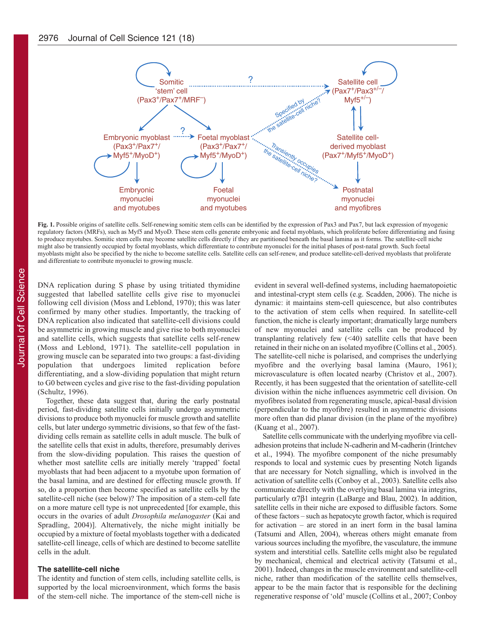

**Fig. 1.** Possible origins of satellite cells. Self-renewing somitic stem cells can be identified by the expression of Pax3 and Pax7, but lack expression of myogenic regulatory factors (MRFs), such as Myf5 and MyoD. These stem cells generate embryonic and foetal myoblasts, which proliferate before differentiating and fusing to produce myotubes. Somitic stem cells may become satellite cells directly if they are partitioned beneath the basal lamina as it forms. The satellite-cell niche might also be transiently occupied by foetal myoblasts, which differentiate to contribute myonuclei for the initial phases of post-natal growth. Such foetal myoblasts might also be specified by the niche to become satellite cells. Satellite cells can self-renew, and produce satellite-cell-derived myoblasts that proliferate and differentiate to contribute myonuclei to growing muscle.

DNA replication during S phase by using tritiated thymidine suggested that labelled satellite cells give rise to myonuclei following cell division (Moss and Leblond, 1970); this was later confirmed by many other studies. Importantly, the tracking of DNA replication also indicated that satellite-cell divisions could be asymmetric in growing muscle and give rise to both myonuclei and satellite cells, which suggests that satellite cells self-renew (Moss and Leblond, 1971). The satellite-cell population in growing muscle can be separated into two groups: a fast-dividing population that undergoes limited replication before differentiating, and a slow-dividing population that might return to G0 between cycles and give rise to the fast-dividing population (Schultz, 1996).

Together, these data suggest that, during the early postnatal period, fast-dividing satellite cells initially undergo asymmetric divisions to produce both myonuclei for muscle growth and satellite cells, but later undergo symmetric divisions, so that few of the fastdividing cells remain as satellite cells in adult muscle. The bulk of the satellite cells that exist in adults, therefore, presumably derives from the slow-dividing population. This raises the question of whether most satellite cells are initially merely 'trapped' foetal myoblasts that had been adjacent to a myotube upon formation of the basal lamina, and are destined for effecting muscle growth. If so, do a proportion then become specified as satellite cells by the satellite-cell niche (see below)? The imposition of a stem-cell fate on a more mature cell type is not unprecedented [for example, this occurs in the ovaries of adult *Drosophila melanogaster* (Kai and Spradling, 2004)]. Alternatively, the niche might initially be occupied by a mixture of foetal myoblasts together with a dedicated satellite-cell lineage, cells of which are destined to become satellite cells in the adult.

## **The satellite-cell niche**

The identity and function of stem cells, including satellite cells, is supported by the local microenvironment, which forms the basis of the stem-cell niche. The importance of the stem-cell niche is evident in several well-defined systems, including haematopoietic and intestinal-crypt stem cells (e.g. Scadden, 2006). The niche is dynamic: it maintains stem-cell quiescence, but also contributes to the activation of stem cells when required. In satellite-cell function, the niche is clearly important; dramatically large numbers of new myonuclei and satellite cells can be produced by transplanting relatively few (<40) satellite cells that have been retained in their niche on an isolated myofibre (Collins et al., 2005). The satellite-cell niche is polarised, and comprises the underlying myofibre and the overlying basal lamina (Mauro, 1961); microvasculature is often located nearby (Christov et al., 2007). Recently, it has been suggested that the orientation of satellite-cell division within the niche influences asymmetric cell division. On myofibres isolated from regenerating muscle, apical-basal division (perpendicular to the myofibre) resulted in asymmetric divisions more often than did planar division (in the plane of the myofibre) (Kuang et al., 2007).

Satellite cells communicate with the underlying myofibre via celladhesion proteins that include N-cadherin and M-cadherin (Irintchev et al., 1994). The myofibre component of the niche presumably responds to local and systemic cues by presenting Notch ligands that are necessary for Notch signalling, which is involved in the activation of satellite cells (Conboy et al., 2003). Satellite cells also communicate directly with the overlying basal lamina via integrins, particularly α7β1 integrin (LaBarge and Blau, 2002). In addition, satellite cells in their niche are exposed to diffusible factors. Some of these factors – such as hepatocyte growth factor, which is required for activation – are stored in an inert form in the basal lamina (Tatsumi and Allen, 2004), whereas others might emanate from various sources including the myofibre, the vasculature, the immune system and interstitial cells. Satellite cells might also be regulated by mechanical, chemical and electrical activity (Tatsumi et al., 2001). Indeed, changes in the muscle environment and satellite-cell niche, rather than modification of the satellite cells themselves, appear to be the main factor that is responsible for the declining regenerative response of 'old' muscle (Collins et al., 2007; Conboy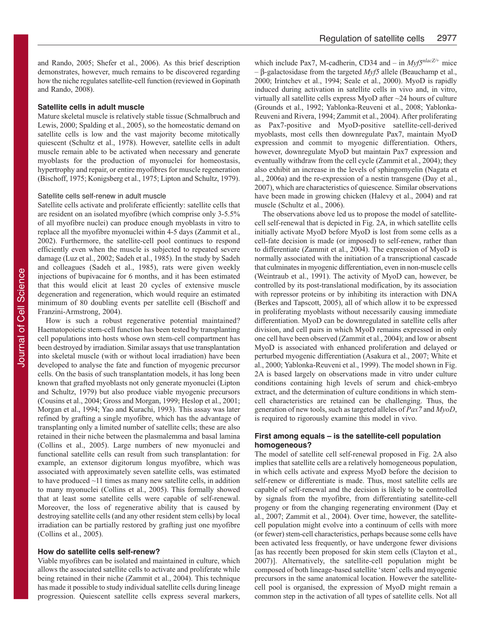and Rando, 2005; Shefer et al., 2006). As this brief description demonstrates, however, much remains to be discovered regarding how the niche regulates satellite-cell function (reviewed in Gopinath and Rando, 2008).

#### **Satellite cells in adult muscle**

Mature skeletal muscle is relatively stable tissue (Schmalbruch and Lewis, 2000; Spalding et al., 2005), so the homeostatic demand on satellite cells is low and the vast majority become mitotically quiescent (Schultz et al., 1978). However, satellite cells in adult muscle remain able to be activated when necessary and generate myoblasts for the production of myonuclei for homeostasis, hypertrophy and repair, or entire myofibres for muscle regeneration (Bischoff, 1975; Konigsberg et al., 1975; Lipton and Schultz, 1979).

## Satellite cells self-renew in adult muscle

Satellite cells activate and proliferate efficiently: satellite cells that are resident on an isolated myofibre (which comprise only 3-5.5% of all myofibre nuclei) can produce enough myoblasts in vitro to replace all the myofibre myonuclei within 4-5 days (Zammit et al., 2002). Furthermore, the satellite-cell pool continues to respond efficiently even when the muscle is subjected to repeated severe damage (Luz et al., 2002; Sadeh et al., 1985). In the study by Sadeh and colleagues (Sadeh et al., 1985), rats were given weekly injections of bupivacaine for 6 months, and it has been estimated that this would elicit at least 20 cycles of extensive muscle degeneration and regeneration, which would require an estimated minimum of 80 doubling events per satellite cell (Bischoff and Franzini-Armstrong, 2004).

How is such a robust regenerative potential maintained? Haematopoietic stem-cell function has been tested by transplanting cell populations into hosts whose own stem-cell compartment has been destroyed by irradiation. Similar assays that use transplantation into skeletal muscle (with or without local irradiation) have been developed to analyse the fate and function of myogenic precursor cells. On the basis of such transplantation models, it has long been known that grafted myoblasts not only generate myonuclei (Lipton and Schultz, 1979) but also produce viable myogenic precursors (Cousins et al., 2004; Gross and Morgan, 1999; Heslop et al., 2001; Morgan et al., 1994; Yao and Kurachi, 1993). This assay was later refined by grafting a single myofibre, which has the advantage of transplanting only a limited number of satellite cells; these are also retained in their niche between the plasmalemma and basal lamina (Collins et al., 2005). Large numbers of new myonuclei and functional satellite cells can result from such transplantation: for example, an extensor digitorum longus myofibre, which was associated with approximately seven satellite cells, was estimated to have produced ~11 times as many new satellite cells, in addition to many myonuclei (Collins et al., 2005). This formally showed that at least some satellite cells were capable of self-renewal. Moreover, the loss of regenerative ability that is caused by destroying satellite cells (and any other resident stem cells) by local irradiation can be partially restored by grafting just one myofibre (Collins et al., 2005).

#### **How do satellite cells self-renew?**

Viable myofibres can be isolated and maintained in culture, which allows the associated satellite cells to activate and proliferate while being retained in their niche (Zammit et al., 2004). This technique has made it possible to study individual satellite cells during lineage progression. Quiescent satellite cells express several markers, which include Pax7, M-cadherin, CD34 and – in *Myf5<sup>nlacZ/+</sup>* mice – β-galactosidase from the targeted *Myf5* allele (Beauchamp et al., 2000; Irintchev et al., 1994; Seale et al., 2000). MyoD is rapidly induced during activation in satellite cells in vivo and, in vitro, virtually all satellite cells express MyoD after ~24 hours of culture (Grounds et al., 1992; Yablonka-Reuveni et al., 2008; Yablonka-Reuveni and Rivera, 1994; Zammit et al., 2004). After proliferating as Pax7-positive and MyoD-positive satellite-cell-derived myoblasts, most cells then downregulate Pax7, maintain MyoD expression and commit to myogenic differentiation. Others, however, downregulate MyoD but maintain Pax7 expression and eventually withdraw from the cell cycle (Zammit et al., 2004); they also exhibit an increase in the levels of sphingomyelin (Nagata et al., 2006a) and the re-expression of a nestin transgene (Day et al., 2007), which are characteristics of quiescence. Similar observations have been made in growing chicken (Halevy et al., 2004) and rat muscle (Schultz et al., 2006).

The observations above led us to propose the model of satellitecell self-renewal that is depicted in Fig. 2A, in which satellite cells initially activate MyoD before MyoD is lost from some cells as a cell-fate decision is made (or imposed) to self-renew, rather than to differentiate (Zammit et al., 2004). The expression of MyoD is normally associated with the initiation of a transcriptional cascade that culminates in myogenic differentiation, even in non-muscle cells (Weintraub et al., 1991). The activity of MyoD can, however, be controlled by its post-translational modification, by its association with repressor proteins or by inhibiting its interaction with DNA (Berkes and Tapscott, 2005), all of which allow it to be expressed in proliferating myoblasts without necessarily causing immediate differentiation. MyoD can be downregulated in satellite cells after division, and cell pairs in which MyoD remains expressed in only one cell have been observed (Zammit et al., 2004); and low or absent MyoD is associated with enhanced proliferation and delayed or perturbed myogenic differentiation (Asakura et al., 2007; White et al., 2000; Yablonka-Reuveni et al., 1999). The model shown in Fig. 2A is based largely on observations made in vitro under culture conditions containing high levels of serum and chick-embryo extract, and the determination of culture conditions in which stemcell characteristics are retained can be challenging. Thus, the generation of new tools, such as targeted alleles of *Pax7* and *MyoD*, is required to rigorously examine this model in vivo.

## **First among equals – is the satellite-cell population homogeneous?**

The model of satellite cell self-renewal proposed in Fig. 2A also implies that satellite cells are a relatively homogeneous population, in which cells activate and express MyoD before the decision to self-renew or differentiate is made. Thus, most satellite cells are capable of self-renewal and the decision is likely to be controlled by signals from the myofibre, from differentiating satellite-cell progeny or from the changing regenerating environment (Day et al., 2007; Zammit et al., 2004). Over time, however, the satellitecell population might evolve into a continuum of cells with more (or fewer) stem-cell characteristics, perhaps because some cells have been activated less frequently, or have undergone fewer divisions [as has recently been proposed for skin stem cells (Clayton et al., 2007)]. Alternatively, the satellite-cell population might be composed of both lineage-based satellite 'stem' cells and myogenic precursors in the same anatomical location. However the satellitecell pool is organised, the expression of MyoD might remain a common step in the activation of all types of satellite cells. Not all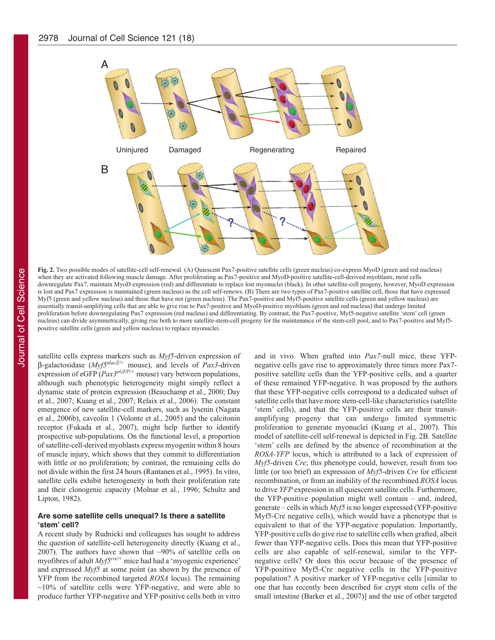

**Fig. 2.** Two possible modes of satellite-cell self-renewal. (A) Quiescent Pax7-positive satellite cells (green nucleus) co-express MyoD (green and red nucleus) when they are activated following muscle damage. After proliferating as Pax7-positive and MyoD-positive satellite-cell-derived myoblasts, most cells downregulate Pax7, maintain MyoD expression (red) and differentiate to replace lost myonuclei (black). In other satellite-cell progeny, however, MyoD expression is lost and Pax7 expression is maintained (green nucleus) as the cell self-renews. (B) There are two types of Pax7-positive satellite cell, those that have expressed Myf5 (green and yellow nucleus) and those that have not (green nucleus). The Pax7-positive and Myf5-positive satellite cells (green and yellow nucleus) are essentially transit-amplifying cells that are able to give rise to Pax7-positive and MyoD-positive myoblasts (green and red nucleus) that undergo limited proliferation before downregulating Pax7 expression (red nucleus) and differentiating. By contrast, the Pax7-positive, Myf5-negative satellite 'stem' cell (green nucleus) can divide asymmetrically, giving rise both to more satellite-stem-cell progeny for the maintenance of the stem-cell pool, and to Pax7-positive and Myf5 positive satellite cells (green and yellow nucleus) to replace myonuclei.

satellite cells express markers such as *Myf5*-driven expression of β-galactosidase (*Myf5nlacZ/+* mouse), and levels of *Pax3*-driven expression of  $eGFP(Pax3^{eGFP/+})$  mouse) vary between populations, although such phenotypic heterogeneity might simply reflect a dynamic state of protein expression (Beauchamp et al., 2000; Day et al., 2007; Kuang et al., 2007; Relaix et al., 2006). The constant emergence of new satellite-cell markers, such as lysenin (Nagata et al., 2006b), caveolin 1 (Volonte et al., 2005) and the calcitonin receptor (Fukada et al., 2007), might help further to identify prospective sub-populations. On the functional level, a proportion of satellite-cell-derived myoblasts express myogenin within 8 hours of muscle injury, which shows that they commit to differentiation with little or no proliferation; by contrast, the remaining cells do not divide within the first 24 hours (Rantanen et al., 1995). In vitro, satellite cells exhibit heterogeneity in both their proliferation rate and their clonogenic capacity (Molnar et al., 1996; Schultz and Lipton, 1982).

## **Are some satellite cells unequal? Is there a satellite ʻstem' cell?**

A recent study by Rudnicki and colleagues has sought to address the question of satellite-cell heterogeneity directly (Kuang et al., 2007). The authors have shown that  $\sim$ 90% of satellite cells on myofibres of adult  $Myf5<sup>cre/+</sup>$  mice had had a 'myogenic experience' and expressed *Myf5* at some point (as shown by the presence of YFP from the recombined targeted *ROSA* locus). The remaining  $~10\%$  of satellite cells were YFP-negative, and were able to produce further YFP-negative and YFP-positive cells both in vitro

and in vivo. When grafted into *Pax7-*null mice, these YFPnegative cells gave rise to approximately three times more Pax7 positive satellite cells than the YFP-positive cells, and a quarter of these remained YFP-negative. It was proposed by the authors that these YFP-negative cells correspond to a dedicated subset of satellite cells that have more stem-cell-like characteristics (satellite 'stem' cells), and that the YFP-positive cells are their transitamplifying progeny that can undergo limited symmetric proliferation to generate myonuclei (Kuang et al., 2007). This model of satellite-cell self-renewal is depicted in Fig. 2B. Satellite 'stem' cells are defined by the absence of recombination at the *ROSA-YFP* locus, which is attributed to a lack of expression of *Myf5-*driven *Cre*; this phenotype could, however, result from too little (or too brief) an expression of *Myf5*-driven *Cre* for efficient recombination, or from an inability of the recombined *ROSA* locus to drive *YFP* expression in all quiescent satellite cells. Furthermore, the YFP-positive population might well contain – and, indeed, generate – cells in which *Myf5* is no longer expressed (YFP-positive Myf5-Cre negative cells), which would have a phenotype that is equivalent to that of the YFP-negative population. Importantly, YFP-positive cells do give rise to satellite cells when grafted, albeit fewer than YFP-negative cells. Does this mean that YFP-positive cells are also capable of self-renewal, similar to the YFPnegative cells? Or does this occur because of the presence of YFP-positive Myf5-Cre negative cells in the YFP-positive population? A positive marker of YFP-negative cells [similar to one that has recently been described for crypt stem cells of the small intestine (Barker et al., 2007)] and the use of other targeted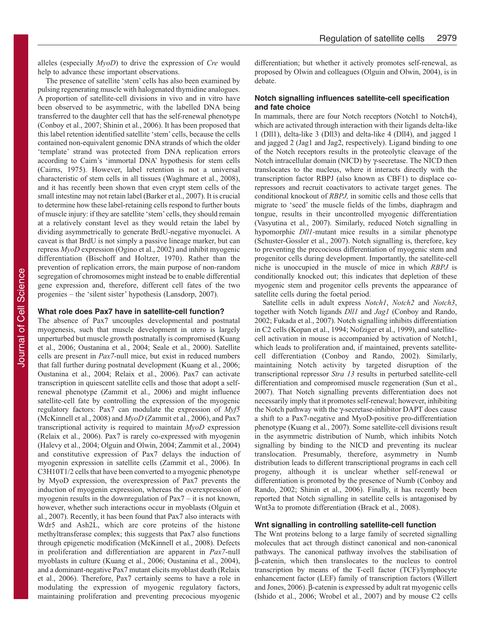alleles (especially *MyoD*) to drive the expression of *Cre* would help to advance these important observations.

The presence of satellite 'stem' cells has also been examined by pulsing regenerating muscle with halogenated thymidine analogues. A proportion of satellite-cell divisions in vivo and in vitro have been observed to be asymmetric, with the labelled DNA being transferred to the daughter cell that has the self-renewal phenotype (Conboy et al., 2007; Shinin et al., 2006). It has been proposed that this label retention identified satellite 'stem' cells, because the cells contained non-equivalent genomic DNA strands of which the older 'template' strand was protected from DNA replication errors according to Cairn's 'immortal DNA' hypothesis for stem cells (Cairns, 1975). However, label retention is not a universal characteristic of stem cells in all tissues (Waghmare et al., 2008), and it has recently been shown that even crypt stem cells of the small intestine may not retain label (Barker et al., 2007). It is crucial to determine how these label-retaining cells respond to further bouts of muscle injury: if they are satellite 'stem' cells, they should remain at a relatively constant level as they would retain the label by dividing asymmetrically to generate BrdU-negative myonuclei. A caveat is that BrdU is not simply a passive lineage marker, but can repress *MyoD* expression (Ogino et al., 2002) and inhibit myogenic differentiation (Bischoff and Holtzer, 1970). Rather than the prevention of replication errors, the main purpose of non-random segregation of chromosomes might instead be to enable differential gene expression and, therefore, different cell fates of the two progenies – the 'silent sister' hypothesis (Lansdorp, 2007).

## **What role does Pax7 have in satellite-cell function?**

The absence of Pax7 uncouples developmental and postnatal myogenesis, such that muscle development in utero is largely unperturbed but muscle growth postnatally is compromised (Kuang et al., 2006; Oustanina et al., 2004; Seale et al., 2000). Satellite cells are present in *Pax7*-null mice, but exist in reduced numbers that fall further during postnatal development (Kuang et al., 2006; Oustanina et al., 2004; Relaix et al., 2006). Pax7 can activate transcription in quiescent satellite cells and those that adopt a selfrenewal phenotype (Zammit et al., 2006) and might influence satellite-cell fate by controlling the expression of the myogenic regulatory factors: Pax7 can modulate the expression of *Myf5* (McKinnell et al., 2008) and *MyoD* (Zammit et al., 2006), and Pax7 transcriptional activity is required to maintain *MyoD* expression (Relaix et al., 2006). Pax7 is rarely co-expressed with myogenin (Halevy et al., 2004; Olguin and Olwin, 2004; Zammit et al., 2004) and constitutive expression of Pax7 delays the induction of myogenin expression in satellite cells (Zammit et al., 2006). In C3H10T1/2 cells that have been converted to a myogenic phenotype by MyoD expression, the overexpression of Pax7 prevents the induction of myogenin expression, whereas the overexpression of myogenin results in the downregulation of Pax7 – it is not known, however, whether such interactions occur in myoblasts (Olguin et al., 2007). Recently, it has been found that Pax7 also interacts with Wdr5 and Ash2L, which are core proteins of the histone methyltransferase complex; this suggests that Pax7 also functions through epigenetic modification (McKinnell et al., 2008). Defects in proliferation and differentiation are apparent in *Pax7*-null myoblasts in culture (Kuang et al., 2006; Oustanina et al., 2004), and a dominant-negative Pax7 mutant elicits myoblast death (Relaix et al., 2006). Therefore, Pax7 certainly seems to have a role in modulating the expression of myogenic regulatory factors, maintaining proliferation and preventing precocious myogenic

differentiation; but whether it actively promotes self-renewal, as proposed by Olwin and colleagues (Olguin and Olwin, 2004), is in debate.

## **Notch signalling influences satellite-cell specification and fate choice**

In mammals, there are four Notch receptors (Notch1 to Notch4), which are activated through interaction with their ligands delta-like 1 (Dll1), delta-like 3 (Dll3) and delta-like 4 (Dll4), and jagged 1 and jagged 2 (Jag1 and Jag2, respectively). Ligand binding to one of the Notch receptors results in the proteolytic cleavage of the Notch intracellular domain (NICD) by γ-secretase. The NICD then translocates to the nucleus, where it interacts directly with the transcription factor RBPJ (also known as CBF1) to displace corepressors and recruit coactivators to activate target genes. The conditional knockout of *RBPJ,* in somitic cells and those cells that migrate to 'seed' the muscle fields of the limbs, diaphragm and tongue, results in their uncontrolled myogenic differentiation (Vasyutina et al., 2007). Similarly, reduced Notch signalling in hypomorphic *Dll1-*mutant mice results in a similar phenotype (Schuster-Gossler et al., 2007). Notch signalling is, therefore, key to preventing the precocious differentiation of myogenic stem and progenitor cells during development. Importantly, the satellite-cell niche is unoccupied in the muscle of mice in which *RBPJ* is conditionally knocked out; this indicates that depletion of these myogenic stem and progenitor cells prevents the appearance of satellite cells during the foetal period.

Satellite cells in adult express *Notch1*, *Notch2* and *Notch3*, together with Notch ligands *Dll1* and *Jag1* (Conboy and Rando, 2002; Fukada et al., 2007). Notch signalling inhibits differentiation in C2 cells (Kopan et al., 1994; Nofziger et al., 1999), and satellitecell activation in mouse is accompanied by activation of Notch1, which leads to proliferation and, if maintained, prevents satellitecell differentiation (Conboy and Rando, 2002). Similarly, maintaining Notch activity by targeted disruption of the transcriptional repressor *Stra 13* results in perturbed satellite-cell differentiation and compromised muscle regeneration (Sun et al., 2007). That Notch signalling prevents differentiation does not necessarily imply that it promotes self-renewal; however, inhibiting the Notch pathway with the γ-secretase-inhibitor DAPT does cause a shift to a Pax7-negative and MyoD-positive pro-differentiation phenotype (Kuang et al., 2007). Some satellite-cell divisions result in the asymmetric distribution of Numb, which inhibits Notch signalling by binding to the NICD and preventing its nuclear translocation. Presumably, therefore, asymmetry in Numb distribution leads to different transcriptional programs in each cell progeny, although it is unclear whether self-renewal or differentiation is promoted by the presence of Numb (Conboy and Rando, 2002; Shinin et al., 2006). Finally, it has recently been reported that Notch signalling in satellite cells is antagonised by Wnt3a to promote differentiation (Brack et al., 2008).

### **Wnt signalling in controlling satellite-cell function**

The Wnt proteins belong to a large family of secreted signalling molecules that act through distinct canonical and non-canonical pathways. The canonical pathway involves the stabilisation of β-catenin, which then translocates to the nucleus to control transcription by means of the T-cell factor (TCF)/lymphocyte enhancement factor (LEF) family of transcription factors (Willert and Jones, 2006). β-catenin is expressed by adult rat myogenic cells (Ishido et al., 2006; Wrobel et al., 2007) and by mouse C2 cells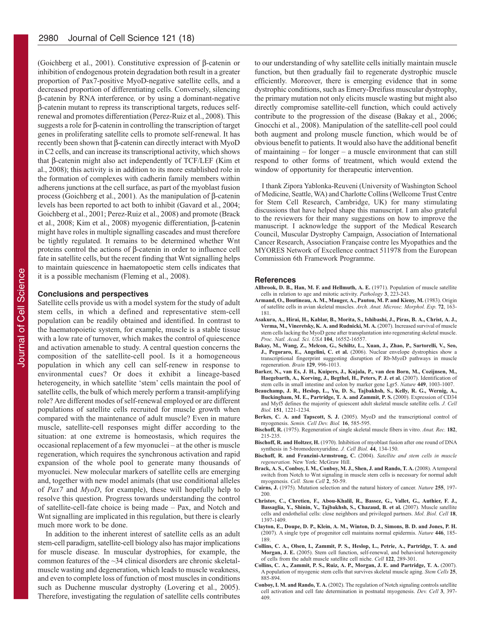(Goichberg et al., 2001). Constitutive expression of β-catenin or inhibition of endogenous protein degradation both result in a greater proportion of Pax7-positive MyoD-negative satellite cells, and a decreased proportion of differentiating cells. Conversely, silencing β-catenin by RNA interference*,* or by using a dominant-negative β-catenin mutant to repress its transcriptional targets, reduces selfrenewal and promotes differentiation (Perez-Ruiz et al., 2008). This suggests a role for β-catenin in controlling the transcription of target genes in proliferating satellite cells to promote self-renewal. It has recently been shown that β-catenin can directly interact with MyoD in C2 cells, and can increase its transcriptional activity, which shows that β-catenin might also act independently of TCF/LEF (Kim et al., 2008); this activity is in addition to its more established role in the formation of complexes with cadherin family members within adherens junctions at the cell surface, as part of the myoblast fusion process (Goichberg et al., 2001). As the manipulation of β-catenin levels has been reported to act both to inhibit (Gavard et al., 2004; Goichberg et al., 2001; Perez-Ruiz et al., 2008) and promote (Brack et al., 2008; Kim et al., 2008) myogenic differentiation, β-catenin might have roles in multiple signalling cascades and must therefore be tightly regulated. It remains to be determined whether Wnt proteins control the actions of β-catenin in order to influence cell fate in satellite cells, but the recent finding that Wnt signalling helps to maintain quiescence in haematopoetic stem cells indicates that it is a possible mechanism (Fleming et al., 2008).

## **Conclusions and perspectives**

Satellite cells provide us with a model system for the study of adult stem cells, in which a defined and representative stem-cell population can be readily obtained and identified. In contrast to the haematopoietic system, for example, muscle is a stable tissue with a low rate of turnover, which makes the control of quiescence and activation amenable to study. A central question concerns the composition of the satellite-cell pool. Is it a homogeneous population in which any cell can self-renew in response to environmental cues? Or does it exhibit a lineage-based heterogeneity, in which satellite 'stem' cells maintain the pool of satellite cells, the bulk of which merely perform a transit-amplifying role? Are different modes of self-renewal employed or are different populations of satellite cells recruited for muscle growth when compared with the maintenance of adult muscle? Even in mature muscle, satellite-cell responses might differ according to the situation: at one extreme is homeostasis, which requires the occasional replacement of a few myonuclei – at the other is muscle regeneration, which requires the synchronous activation and rapid expansion of the whole pool to generate many thousands of myonuclei. New molecular markers of satellite cells are emerging and, together with new model animals (that use conditional alleles of *Pax7* and *MyoD*, for example), these will hopefully help to resolve this question. Progress towards understanding the control of satellite-cell-fate choice is being made – Pax, and Notch and Wnt signalling are implicated in this regulation, but there is clearly much more work to be done.

In addition to the inherent interest of satellite cells as an adult stem-cell paradigm, satellite-cell biology also has major implications for muscle disease. In muscular dystrophies, for example, the common features of the ~34 clinical disorders are chronic skeletalmuscle wasting and degeneration, which leads to muscle weakness, and even to complete loss of function of most muscles in conditions such as Duchenne muscular dystrophy (Lovering et al., 2005). Therefore, investigating the regulation of satellite cells contributes

to our understanding of why satellite cells initially maintain muscle function, but then gradually fail to regenerate dystrophic muscle efficiently. Moreover, there is emerging evidence that in some dystrophic conditions, such as Emery-Dreifuss muscular dystrophy, the primary mutation not only elicits muscle wasting but might also directly compromise satellite-cell function, which could actively contribute to the progression of the disease (Bakay et al., 2006; Gnocchi et al., 2008). Manipulation of the satellite-cell pool could both augment and prolong muscle function, which would be of obvious benefit to patients. It would also have the additional benefit of maintaining – for longer – a muscle environment that can still respond to other forms of treatment, which would extend the window of opportunity for therapeutic intervention.

I thank Zipora Yablonka-Reuveni (University of Washington School of Medicine, Seattle, WA) and Charlotte Collins (Wellcome Trust Centre for Stem Cell Research, Cambridge, UK) for many stimulating discussions that have helped shape this manuscript. I am also grateful to the reviewers for their many suggestions on how to improve the manuscript. I acknowledge the support of the Medical Research Council, Muscular Dystrophy Campaign, Association of International Cancer Research, Association Française contre les Myopathies and the MYORES Network of Excellence contract 511978 from the European Commission 6th Framework Programme.

#### **References**

- **Allbrook, D. B., Han, M. F. and Hellmuth, A. E.** (1971). Population of muscle satellite cells in relation to age and mitotic activity. *Pathology* **3**, 223-243.
- **Armand, O., Boutineau, A. M., Mauger, A., Pautou, M. P. and Kieny, M.** (1983). Origin of satellite cells in avian skeletal muscles. *Arch. Anat. Microsc. Morphol. Exp.* **72**, 163- 181.
- **Asakura, A., Hirai, H., Kablar, B., Morita, S., Ishibashi, J., Piras, B. A., Christ, A. J., Verma, M., Vineretsky, K. A. and Rudnicki, M. A.** (2007). Increased survival of muscle stem cells lacking the MyoD gene after transplantation into regenerating skeletal muscle. *Proc. Natl. Acad. Sci. USA* **104**, 16552-16557.
- **Bakay, M., Wang, Z., Melcon, G., Schiltz, L., Xuan, J., Zhao, P., Sartorelli, V., Seo, J., Pegoraro, E., Angelini, C. et al.** (2006). Nuclear envelope dystrophies show a transcriptional fingerprint suggesting disruption of Rb-MyoD pathways in muscle regeneration. *Brain* **129**, 996-1013.
- **Barker, N., van Es, J. H., Kuipers, J., Kujala, P., van den Born, M., Cozijnsen, M., Haegebarth, A., Korving, J., Begthel, H., Peters, P. J. et al.** (2007). Identification of stem cells in small intestine and colon by marker gene Lgr5. *Nature* **449**, 1003-1007.
- **Beauchamp, J. R., Heslop, L., Yu, D. S., Tajbakhsh, S., Kelly, R. G., Wernig, A., Buckingham, M. E., Partridge, T. A. and Zammit, P. S.** (2000). Expression of CD34 and Myf5 defines the majority of quiescent adult skeletal muscle satellite cells. *J. Cell Biol.* **151**, 1221-1234.
- **Berkes, C. A. and Tapscott, S. J.** (2005). MyoD and the transcriptional control of myogenesis. *Semin. Cell Dev. Biol.* **16**, 585-595.
- **Bischoff, R.** (1975). Regeneration of single skeletal muscle fibers in vitro. *Anat. Rec.* **182**, 215-235.
- **Bischoff, R. and Holtzer, H.** (1970). Inhibition of myoblast fusion after one round of DNA synthesis in 5-bromodeoxyuridine. *J. Cell Biol.* **44**, 134-150.
- **Bischoff, R. and Franzini-Armstrong, C.** (2004). *Satellite and stem cells in muscle regeneration.* New York: McGraw Hill.
- **Brack, A. S., Conboy, I. M., Conboy, M. J., Shen, J. and Rando, T. A.** (2008). A temporal switch from Notch to Wnt signaling in muscle stem cells is necessary for normal adult myogenesis. *Cell. Stem Cell* **2**, 50-59.
- **Cairns, J.** (1975). Mutation selection and the natural history of cancer. *Nature* **255**, 197- 200.
- **Christov, C., Chretien, F., Abou-Khalil, R., Bassez, G., Vallet, G., Authier, F. J., Bassaglia, Y., Shinin, V., Tajbakhsh, S., Chazaud, B. et al.** (2007). Muscle satellite cells and endothelial cells: close neighbors and privileged partners. *Mol. Biol. Cell* **18**, 1397-1409.
- **Clayton, E., Doupe, D. P., Klein, A. M., Winton, D. J., Simons, B. D. and Jones, P. H.** (2007). A single type of progenitor cell maintains normal epidermis. *Nature* **446**, 185- 189.
- **Collins, C. A., Olsen, I., Zammit, P. S., Heslop, L., Petrie, A., Partridge, T. A. and Morgan, J. E.** (2005). Stem cell function, self-renewal, and behavioral heterogeneity of cells from the adult muscle satellite cell niche. *Cell* **122**, 289-301.
- **Collins, C. A., Zammit, P. S., Ruiz, A. P., Morgan, J. E. and Partridge, T. A.** (2007). A population of myogenic stem cells that survives skeletal muscle aging. *Stem Cells* **25**, 885-894.
- **Conboy, I. M. and Rando, T. A.** (2002). The regulation of Notch signaling controls satellite cell activation and cell fate determination in postnatal myogenesis. *Dev. Cell* **3**, 397- 409.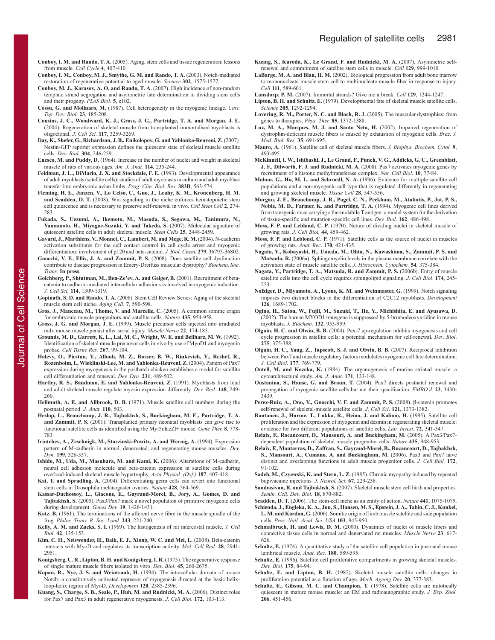- **Conboy, I. M. and Rando, T. A.** (2005). Aging, stem cells and tissue regeneration: lessons from muscle. *Cell Cycle* **4**, 407-410.
- **Conboy, I. M., Conboy, M. J., Smythe, G. M. and Rando, T. A.** (2003). Notch-mediated restoration of regenerative potential to aged muscle. *Science* **302**, 1575-1577.
- **Conboy, M. J., Karasov, A. O. and Rando, T. A.** (2007). High incidence of non-random template strand segregation and asymmetric fate determination in dividing stem cells and their progeny. *PLoS Biol.* **5**, e102.
- **Cossu, G. and Molinaro, M.** (1987). Cell heterogeneity in the myogenic lineage. *Curr. Top. Dev. Biol.* **23**, 185-208.
- **Cousins, J. C., Woodward, K. J., Gross, J. G., Partridge, T. A. and Morgan, J. E.** (2004). Regeneration of skeletal muscle from transplanted immortalised myoblasts is oligoclonal. *J. Cell Sci.* **117**, 3259-3269.
- **Day, K., Shefer, G., Richardson, J. B., Enikolopov, G. and Yablonka-Reuveni, Z.** (2007). Nestin-GFP reporter expression defines the quiescent state of skeletal muscle satellite cells. *Dev. Biol.* **304**, 246-259.
- **Enesco, M. and Puddy, D.** (1964). Increase in the number of nuclei and weight in skeletal muscle of rats of various ages. *Am. J. Anat.* **114**, 235-244.
- **Feldman, J. L., DiMario, J. X. and Stockdale, F. E.** (1993). Developmental appearance of adult myoblasts (satellite cells): studies of adult myoblasts in culture and adult myoblast transfer into embryonic avian limbs. *Prog. Clin. Biol. Res.* **383B**, 563-574.
- **Fleming, H. E., Janzen, V., Lo Celso, C., Guo, J., Leahy, K. M., Kronenberg, H. M. and Scadden, D. T.** (2008). Wnt signaling in the niche enforces hematopoietic stem cell quiescence and is necessary to preserve self-renewal in vivo. *Cell Stem Cell* **2**, 274- 283.
- **Fukada, S., Uezumi, A., Ikemoto, M., Masuda, S., Segawa, M., Tanimura, N., Yamamoto, H., Miyagoe-Suzuki, Y. and Takeda, S.** (2007). Molecular signature of quiescent satellite cells in adult skeletal muscle. *Stem Cells* **25**, 2448-2459.
- **Gavard, J., Marthiens, V., Monnet, C., Lambert, M. and Mege, R. M.** (2004). N-cadherin activation substitutes for the cell contact control in cell cycle arrest and myogenic differentiation: involvement of p120 and beta-catenin. *J. Biol. Chem.* **279**, 36795-36802.
- **Gnocchi, V. F., Ellis, J. A. and Zammit, P. S.** (2008). Does satellite cell dysfunction contribute to disease progression in Emery-Dreifuss muscular dystrophy? *Biochem. Soc. Trans.* **In press**.
- **Goichberg, P., Shtutman, M., Ben-Ze'ev, A. and Geiger, B.** (2001). Recruitment of betacatenin to cadherin-mediated intercellular adhesions is involved in myogenic induction. *J. Cell Sci.* **114**, 1309-1319.
- **Gopinath, S. D. and Rando, T. A.** (2008). Stem Cell Review Series: Aging of the skeletal muscle stem cell niche. *Aging Cell*. **7**, 590-598.
- **Gros, J., Manceau, M., Thome, V. and Marcelle, C.** (2005). A common somitic origin for embryonic muscle progenitors and satellite cells. *Nature* **435**, 954-958.
- **Gross, J. G. and Morgan, J. E.** (1999). Muscle precursor cells injected into irradiated mdx mouse muscle persist after serial injury. *Muscle Nerve* **22**, 174-185.
- **Grounds, M. D., Garrett, K. L., Lai, M. C., Wright, W. E. and Beilharz, M. W.** (1992). Identification of skeletal muscle precursor cells in vivo by use of MyoD1 and myogenin probes. *Cell Tissue Res.* **267**, 99-104.
- **Halevy, O., Piestun, Y., Allouh, M. Z., Rosser, B. W., Rinkevich, Y., Reshef, R., Rozenboim, I., Wleklinski-Lee, M. and Yablonka-Reuveni, Z.** (2004). Pattern of Pax7 expression during myogenesis in the posthatch chicken establishes a model for satellite cell differentiation and renewal. *Dev. Dyn.* **231**, 489-502.
- **Hartley, R. S., Bandman, E. and Yablonka-Reuveni, Z.** (1991). Myoblasts from fetal and adult skeletal muscle regulate myosin expression differently. *Dev. Biol.* **148**, 249- 260.
- **Hellmuth, A. E. and Allbrook, D. B.** (1971). Muscle satellite cell numbers during the postnatal period. *J. Anat.* **110**, 503.
- **Heslop, L., Beauchamp, J. R., Tajbakhsh, S., Buckingham, M. E., Partridge, T. A. and Zammit, P. S.** (2001). Transplanted primary neonatal myoblasts can give rise to functional satellite cells as identified using the Myf5nlacZl+ mouse. *Gene Ther.* **8**, 778- 783.
- **Irintchev, A., Zeschnigk, M., Starzinski-Powitz, A. and Wernig, A.** (1994). Expression pattern of M-cadherin in normal, denervated, and regenerating mouse muscles. *Dev. Dyn.* **199**, 326-337.
- **Ishido, M., Uda, M., Masuhara, M. and Kami, K.** (2006). Alterations of M-cadherin, neural cell adhesion molecule and beta-catenin expression in satellite cells during overload-induced skeletal muscle hypertrophy. *Acta Physiol. (Oxf.)* **187**, 407-418.
- **Kai, T. and Spradling, A.** (2004). Differentiating germ cells can revert into functional stem cells in Drosophila melanogaster ovaries. *Nature* **428**, 564-569.
- **Kassar-Duchossoy, L., Giacone, E., Gayraud-Morel, B., Jory, A., Gomes, D. and Tajbakhsh, S.** (2005). Pax3/Pax7 mark a novel population of primitive myogenic cells during development. *Genes Dev.* **19**, 1426-1431.
- **Katz, B.** (1961). The terminations of the afferent nerve fibre in the muscle spindle of the frog. *Philos. Trans. R. Soc. Lond.* **243**, 221-240.
- **Kelly, A. M. and Zacks, S. I.** (1969). The histogenesis of rat intercostal muscle. *J. Cell Biol.* **42**, 135-153.
- **Kim, C. H., Neiswender, H., Baik, E. J., Xiong, W. C. and Mei, L.** (2008). Beta-catenin interacts with MyoD and regulates its transcription activity. *Mol. Cell Biol.* **28**, 2941- 2951.
- **Konigsberg, U. R., Lipton, B. H. and Konigsberg, I. R.** (1975). The regenerative response of single mature muscle fibers isolated in vitro. *Dev. Biol.* **45**, 260-2675.
- **Kopan, R., Nye, J. S. and Weintraub, H.** (1994). The intracellular domain of mouse Notch: a constitutively activated repressor of myogenesis directed at the basic helixloop-helix region of MyoD. *Development* **120**, 2385-2396.
- **Kuang, S., Charge, S. B., Seale, P., Huh, M. and Rudnicki, M. A.** (2006). Distinct roles for Pax7 and Pax3 in adult regenerative myogenesis. *J. Cell Biol.* **172**, 103-113.
- **Kuang, S., Kuroda, K., Le Grand, F. and Rudnicki, M. A.** (2007). Asymmetric selfrenewal and commitment of satellite stem cells in muscle. *Cell* **129**, 999-1010.
- **LaBarge, M. A. and Blau, H. M.** (2002). Biological progression from adult bone marrow to mononucleate muscle stem cell to multinucleate muscle fiber in response to injury. *Cell* **111**, 589-601.
- **Lansdorp, P. M.** (2007). Immortal strands? Give me a break. *Cell* **129**, 1244-1247.
- **Lipton, B. H. and Schultz, E.** (1979). Developmental fate of skeletal muscle satellite cells. *Science* **205**, 1292-1294.
- **Lovering, R. M., Porter, N. C. and Bloch, R. J.** (2005). The muscular dystrophies: from genes to therapies. *Phys. Ther.* **85**, 1372-1388.
- **Luz, M. A., Marques, M. J. and Santo Neto, H.** (2002). Impaired regeneration of dystrophin-deficient muscle fibers is caused by exhaustion of myogenic cells. *Braz. J. Med. Biol. Res.* **35**, 691-695.
- **Mauro, A.** (1961). Satellite cell of skeletal muscle fibers. *J. Biophys. Biochem. Cytol.* **9**, 493-495.
- **McKinnell, I. W., Ishibashi, J., Le Grand, F., Punch, V. G., Addicks, G. C., Greenblatt, J. F., Dilworth, F. J. and Rudnicki, M. A.** (2008). Pax7 activates myogenic genes by recruitment of a histone methyltransferase complex. *Nat. Cell Biol.* **10**, 77-84.
- **Molnar, G., Ho, M. L. and Schroedl, N. A.** (1996). Evidence for multiple satellite cell populations and a non-myogenic cell type that is regulated differently in regenerating and growing skeletal muscle. *Tissue Cell* **28**, 547-556.
- **Morgan, J. E., Beauchamp, J. R., Pagel, C. N., Peckham, M., Ataliotis, P., Jat, P. S., Noble, M. D., Farmer, K. and Partridge, T. A.** (1994). Myogenic cell lines derived from transgenic mice carrying a thermolabile T antigen: a model system for the derivation of tissue-specific and mutation-specific cell lines. *Dev. Biol*. **162**, 486-498.
- **Moss, F. P. and Leblond, C. P.** (1970). Nature of dividing nuclei in skeletal muscle of growing rats. *J. Cell Biol.* **44**, 459-462.
- **Moss, F. P. and Leblond, C. P.** (1971). Satellite cells as the source of nuclei in muscles of growing rats. *Anat. Rec*. **170**, 421-435.
- **Nagata, Y., Kobayashi, H., Umeda, M., Ohta, N., Kawashima, S., Zammit, P. S. and Matsuda, R.** (2006a). Sphingomyelin levels in the plasma membrane correlate with the activation state of muscle satellite cells. *J. Histochem. Cytochem.* **54**, 375-384.
- **Nagata, Y., Partridge, T. A., Matsuda, R. and Zammit, P. S.** (2006b). Entry of muscle satellite cells into the cell cycle requires sphingolipid signaling. *J. Cell Biol*. **174**, 245- 253.
- **Nofziger, D., Miyamoto, A., Lyons, K. M. and Weinmaster, G.** (1999). Notch signaling imposes two distinct blocks in the differentiation of C2C12 myoblasts. *Development* **126**, 1689-1702.
- **Ogino, H., Satou, W., Fujii, M., Suzuki, T., He, Y., Michishita, E. and Ayusawa, D.** (2002). The human MYOD1 transgene is suppressed by 5-bromodeoxyuridine in mouse myoblasts. *J. Biochem.* **132**, 953-959.
- **Olguin, H. C. and Olwin, B. B.** (2004). Pax-7 up-regulation inhibits myogenesis and cell cycle progression in satellite cells: a potential mechanism for self-renewal. *Dev. Biol*. **275**, 375-388.
- **Olguin, H. C., Yang, Z., Tapscott, S. J. and Olwin, B. B.** (2007). Reciprocal inhibition between Pax7 and muscle regulatory factors modulates myogenic cell fate determination. *J. Cell Biol*. **177**, 769-779.
- **Ontell, M. and Kozeka, K.** (1984). The organogenesis of murine striated muscle: a cytoarchitectural study. *Am. J. Anat*. **171**, 133-148.
- **Oustanina, S., Hause, G. and Braun, T.** (2004). Pax7 directs postnatal renewal and propagation of myogenic satellite cells but not their specification. *EMBO J.* **23**, 3430- 3439.
- **Perez-Ruiz, A., Ono, Y., Gnocchi, V. F. and Zammit, P. S.** (2008). β-catenin promotes self-renewal of skeletal-muscle satellite cells. *J. Cell Sci*. **121,** 1373-1382.
- **Rantanen, J., Hurme, T., Lukka, R., Heino, J. and Kalimo, H.** (1995). Satellite cell proliferation and the expression of myogenin and desmin in regenerating skeletal muscle: evidence for two different populations of satellite cells. *Lab. Invest.* **72**, 341-347.
- **Relaix, F., Rocancourt, D., Mansouri, A. and Buckingham, M.** (2005). A Pax3/Pax7 dependent population of skeletal muscle progenitor cells. *Nature* **435**, 948-953.
- **Relaix, F., Montarras, D., Zaffran, S., Gayraud-Morel, B., Rocancourt, D., Tajbakhsh, S., Mansouri, A., Cumano, A. and Buckingham, M.** (2006). Pax3 and Pax7 have distinct and overlapping functions in adult muscle progenitor cells. *J. Cell Biol.* **172**, 91-102.
- **Sadeh, M., Czyewski, K. and Stern, L. Z.** (1985). Chronic myopathy induced by repeated bupivacaine injections. *J. Neurol. Sci.* **67**, 229-238.
- **Sambasivan, R. and Tajbakhsh, S.** (2007). Skeletal muscle stem cell birth and properties. *Semin. Cell. Dev. Biol.* **18**, 870-882.
- **Scadden, D. T.** (2006). The stem-cell niche as an entity of action. *Nature* **441**, 1075-1079. **Schienda, J., Engleka, K. A., Jun, S., Hansen, M. S., Epstein, J. A., Tabin, C. J., Kunkel, L. M. and Kardon, G.** (2006). Somitic origin of limb muscle satellite and side population
- cells. *Proc. Natl. Acad. Sci. USA* **103**, 945-950. **Schmalbruch, H. and Lewis, D. M.** (2000). Dynamics of nuclei of muscle fibers and
- connective tissue cells in normal and denervated rat muscles. *Muscle Nerve* **23**, 617- 626.
- **Schultz, E.** (1974). A quantitative study of the satellite cell population in postnatal mouse lumbrical muscle. *Anat. Rec.* **180**, 589-595.
- **Schultz, E.** (1996). Satellite cell proliferative compartments in growing skeletal muscles. *Dev. Biol.* **175**, 84-94.
- **Schultz, E. and Lipton, B. H.** (1982). Skeletal muscle satellite cells: changes in proliferation potential as a function of age. *Mech. Ageing Dev.* **20**, 377-383.
- **Schultz, E., Gibson, M. C. and Champion, T.** (1978). Satellite cells are mitotically quiescent in mature mouse muscle: an EM and radioautographic study. *J. Exp. Zool.* **206**, 451-456.